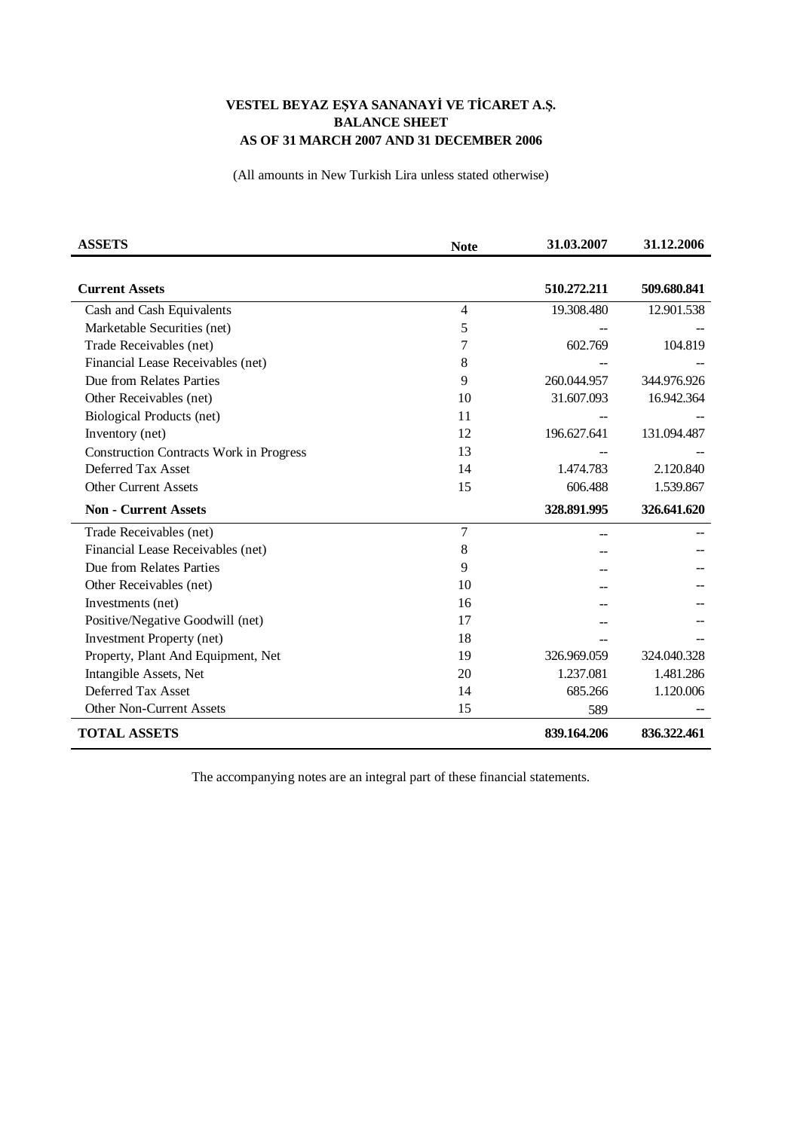## VESTEL BEYAZ EŞYA SANANAYİ VE TİCARET A.Ş. **BALANCE SHEET** AS OF 31 MARCH 2007 AND 31 DECEMBER 2006

(All amounts in New Turkish Lira unless stated otherwise)

| <b>ASSETS</b>                                  | <b>Note</b>    | 31.03.2007  | 31.12.2006  |
|------------------------------------------------|----------------|-------------|-------------|
|                                                |                |             |             |
| <b>Current Assets</b>                          |                | 510.272.211 | 509.680.841 |
| Cash and Cash Equivalents                      | $\overline{4}$ | 19.308.480  | 12.901.538  |
| Marketable Securities (net)                    | 5              |             |             |
| Trade Receivables (net)                        | 7              | 602.769     | 104.819     |
| Financial Lease Receivables (net)              | 8              |             |             |
| Due from Relates Parties                       | 9              | 260.044.957 | 344.976.926 |
| Other Receivables (net)                        | 10             | 31.607.093  | 16.942.364  |
| Biological Products (net)                      | 11             |             |             |
| Inventory (net)                                | 12             | 196.627.641 | 131.094.487 |
| <b>Construction Contracts Work in Progress</b> | 13             |             |             |
| Deferred Tax Asset                             | 14             | 1.474.783   | 2.120.840   |
| <b>Other Current Assets</b>                    | 15             | 606.488     | 1.539.867   |
| <b>Non - Current Assets</b>                    |                | 328.891.995 | 326.641.620 |
| Trade Receivables (net)                        | 7              |             |             |
| Financial Lease Receivables (net)              | 8              |             |             |
| Due from Relates Parties                       | 9              |             |             |
| Other Receivables (net)                        | 10             |             |             |
| Investments (net)                              | 16             |             |             |
| Positive/Negative Goodwill (net)               | 17             |             |             |
| <b>Investment Property (net)</b>               | 18             |             |             |
| Property, Plant And Equipment, Net             | 19             | 326.969.059 | 324.040.328 |
| Intangible Assets, Net                         | 20             | 1.237.081   | 1.481.286   |
| Deferred Tax Asset                             | 14             | 685.266     | 1.120.006   |
| <b>Other Non-Current Assets</b>                | 15             | 589         |             |
| <b>TOTAL ASSETS</b>                            |                | 839.164.206 | 836.322.461 |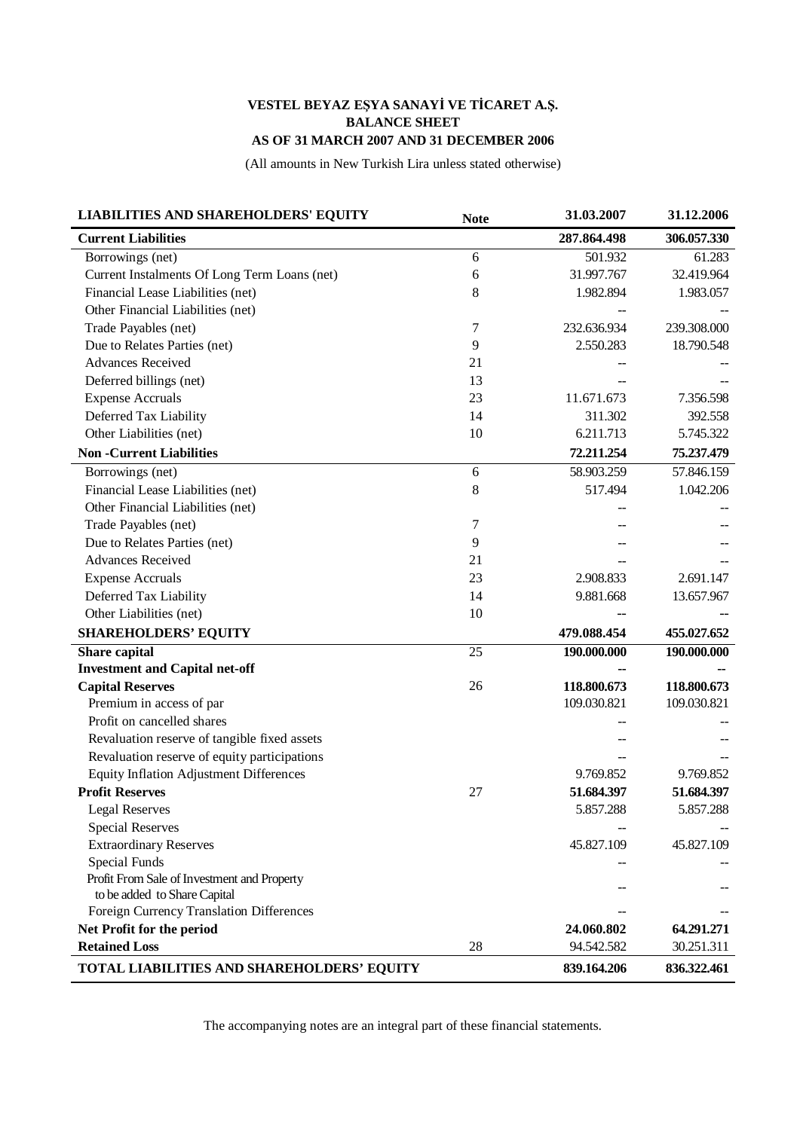## VESTEL BEYAZ EŞYA SANAYİ VE TİCARET A.Ş. **BALANCE SHEET** AS OF 31 MARCH 2007 AND 31 DECEMBER 2006

(All amounts in New Turkish Lira unless stated otherwise)

| <b>LIABILITIES AND SHAREHOLDERS' EQUITY</b>    | <b>Note</b>     | 31.03.2007  | 31.12.2006  |
|------------------------------------------------|-----------------|-------------|-------------|
| <b>Current Liabilities</b>                     |                 | 287.864.498 | 306.057.330 |
| Borrowings (net)                               | 6               | 501.932     | 61.283      |
| Current Instalments Of Long Term Loans (net)   | 6               | 31.997.767  | 32.419.964  |
| Financial Lease Liabilities (net)              | 8               | 1.982.894   | 1.983.057   |
| Other Financial Liabilities (net)              |                 |             |             |
| Trade Payables (net)                           | 7               | 232.636.934 | 239.308.000 |
| Due to Relates Parties (net)                   | 9               | 2.550.283   | 18.790.548  |
| <b>Advances Received</b>                       | 21              |             |             |
| Deferred billings (net)                        | 13              |             |             |
| <b>Expense Accruals</b>                        | 23              | 11.671.673  | 7.356.598   |
| Deferred Tax Liability                         | 14              | 311.302     | 392.558     |
| Other Liabilities (net)                        | 10              | 6.211.713   | 5.745.322   |
| <b>Non-Current Liabilities</b>                 |                 | 72.211.254  | 75.237.479  |
| Borrowings (net)                               | 6               | 58.903.259  | 57.846.159  |
| Financial Lease Liabilities (net)              | $8\,$           | 517.494     | 1.042.206   |
| Other Financial Liabilities (net)              |                 |             |             |
| Trade Payables (net)                           | 7               |             |             |
| Due to Relates Parties (net)                   | 9               |             |             |
| <b>Advances Received</b>                       | 21              |             |             |
| <b>Expense Accruals</b>                        | 23              | 2.908.833   | 2.691.147   |
| Deferred Tax Liability                         | 14              | 9.881.668   | 13.657.967  |
| Other Liabilities (net)                        | 10              |             |             |
| <b>SHAREHOLDERS' EQUITY</b>                    |                 | 479.088.454 | 455.027.652 |
| <b>Share capital</b>                           | $\overline{25}$ | 190.000.000 | 190.000.000 |
| <b>Investment and Capital net-off</b>          |                 |             |             |
| <b>Capital Reserves</b>                        | 26              | 118.800.673 | 118.800.673 |
| Premium in access of par                       |                 | 109.030.821 | 109.030.821 |
| Profit on cancelled shares                     |                 |             |             |
| Revaluation reserve of tangible fixed assets   |                 |             |             |
| Revaluation reserve of equity participations   |                 |             |             |
| <b>Equity Inflation Adjustment Differences</b> |                 | 9.769.852   | 9.769.852   |
| <b>Profit Reserves</b>                         | 27              | 51.684.397  | 51.684.397  |
| <b>Legal Reserves</b>                          |                 | 5.857.288   | 5.857.288   |
| <b>Special Reserves</b>                        |                 |             |             |
| <b>Extraordinary Reserves</b>                  |                 | 45.827.109  | 45.827.109  |
| Special Funds                                  |                 |             |             |
| Profit From Sale of Investment and Property    |                 |             |             |
| to be added to Share Capital                   |                 |             |             |
| Foreign Currency Translation Differences       |                 |             |             |
| Net Profit for the period                      |                 | 24.060.802  | 64.291.271  |
| <b>Retained Loss</b>                           | 28              | 94.542.582  | 30.251.311  |
| TOTAL LIABILITIES AND SHAREHOLDERS' EQUITY     |                 | 839.164.206 | 836.322.461 |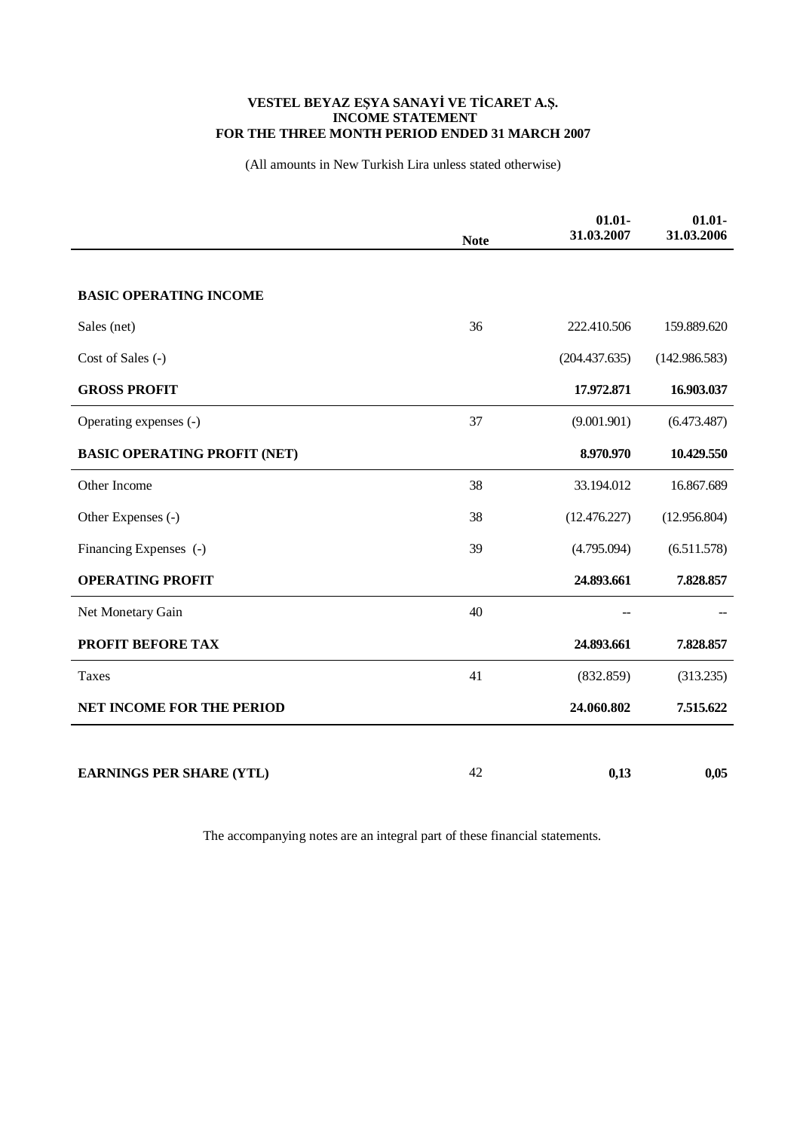## VESTEL BEYAZ EŞYA SANAYİ VE TİCARET A.Ş.<br>INCOME STATEMENT FOR THE THREE MONTH PERIOD ENDED 31 MARCH 2007

(All amounts in New Turkish Lira unless stated otherwise)

|                                     | <b>Note</b> | $01.01 -$<br>31.03.2007 | $01.01 -$<br>31.03.2006 |
|-------------------------------------|-------------|-------------------------|-------------------------|
| <b>BASIC OPERATING INCOME</b>       |             |                         |                         |
| Sales (net)                         | 36          | 222.410.506             | 159.889.620             |
| Cost of Sales (-)                   |             | (204.437.635)           | (142.986.583)           |
|                                     |             | 17.972.871              |                         |
| <b>GROSS PROFIT</b>                 |             |                         | 16.903.037              |
| Operating expenses (-)              | 37          | (9.001.901)             | (6.473.487)             |
| <b>BASIC OPERATING PROFIT (NET)</b> |             | 8.970.970               | 10.429.550              |
| Other Income                        | 38          | 33.194.012              | 16.867.689              |
| Other Expenses (-)                  | 38          | (12.476.227)            | (12.956.804)            |
| Financing Expenses (-)              | 39          | (4.795.094)             | (6.511.578)             |
| <b>OPERATING PROFIT</b>             |             | 24.893.661              | 7.828.857               |
| Net Monetary Gain                   | 40          |                         |                         |
| PROFIT BEFORE TAX                   |             | 24.893.661              | 7.828.857               |
| Taxes                               | 41          | (832.859)               | (313.235)               |
| <b>NET INCOME FOR THE PERIOD</b>    |             | 24.060.802              | 7.515.622               |
|                                     |             |                         |                         |
| <b>EARNINGS PER SHARE (YTL)</b>     | 42          | 0,13                    | 0,05                    |